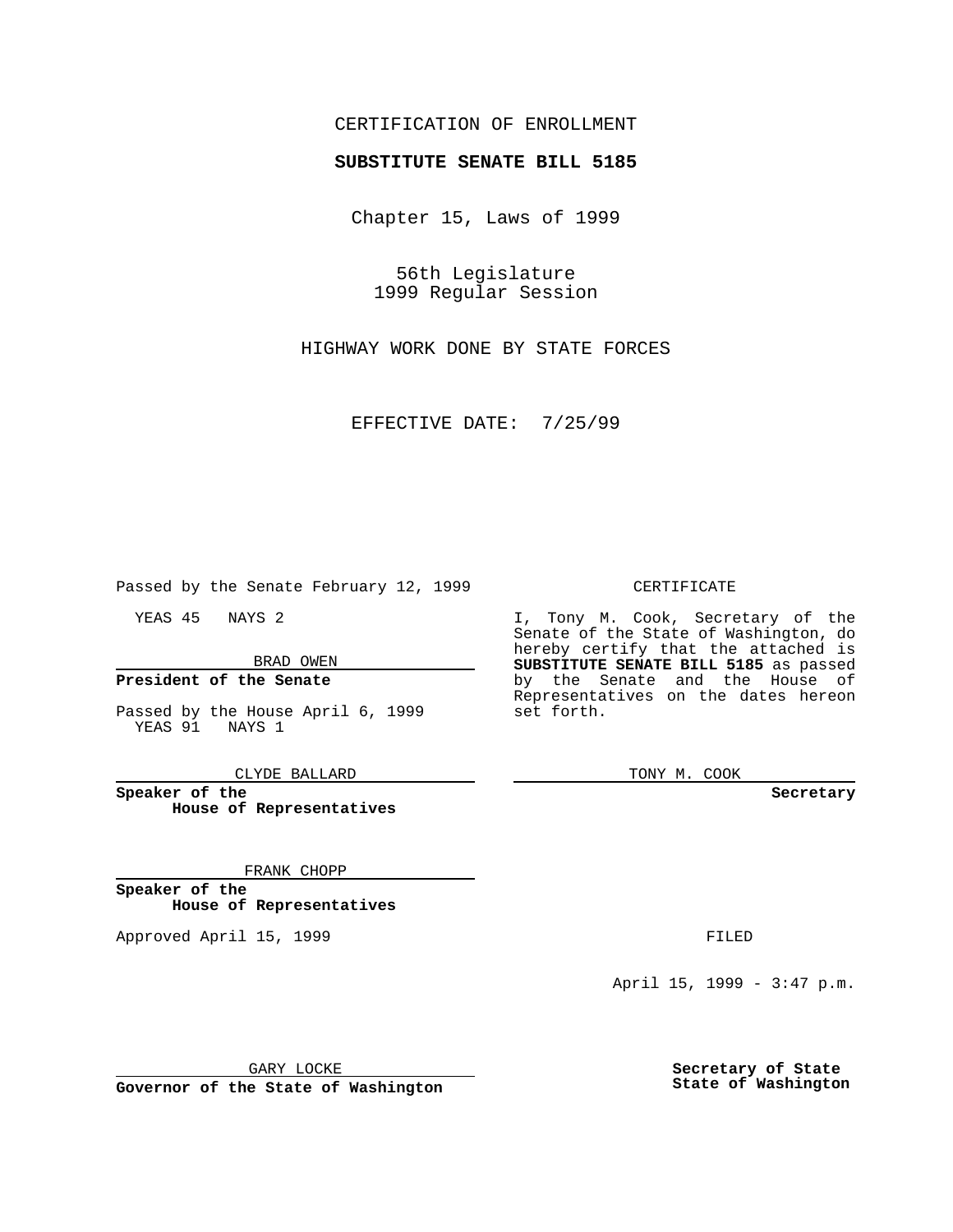## CERTIFICATION OF ENROLLMENT

# **SUBSTITUTE SENATE BILL 5185**

Chapter 15, Laws of 1999

56th Legislature 1999 Regular Session

HIGHWAY WORK DONE BY STATE FORCES

EFFECTIVE DATE: 7/25/99

Passed by the Senate February 12, 1999

YEAS 45 NAYS 2

BRAD OWEN

## **President of the Senate**

Passed by the House April 6, 1999 YEAS 91 NAYS 1

CLYDE BALLARD

**Speaker of the House of Representatives**

#### FRANK CHOPP

**Speaker of the House of Representatives**

Approved April 15, 1999 **FILED** 

#### CERTIFICATE

I, Tony M. Cook, Secretary of the Senate of the State of Washington, do hereby certify that the attached is **SUBSTITUTE SENATE BILL 5185** as passed by the Senate and the House of Representatives on the dates hereon set forth.

TONY M. COOK

**Secretary**

April 15, 1999 - 3:47 p.m.

GARY LOCKE

**Governor of the State of Washington**

**Secretary of State State of Washington**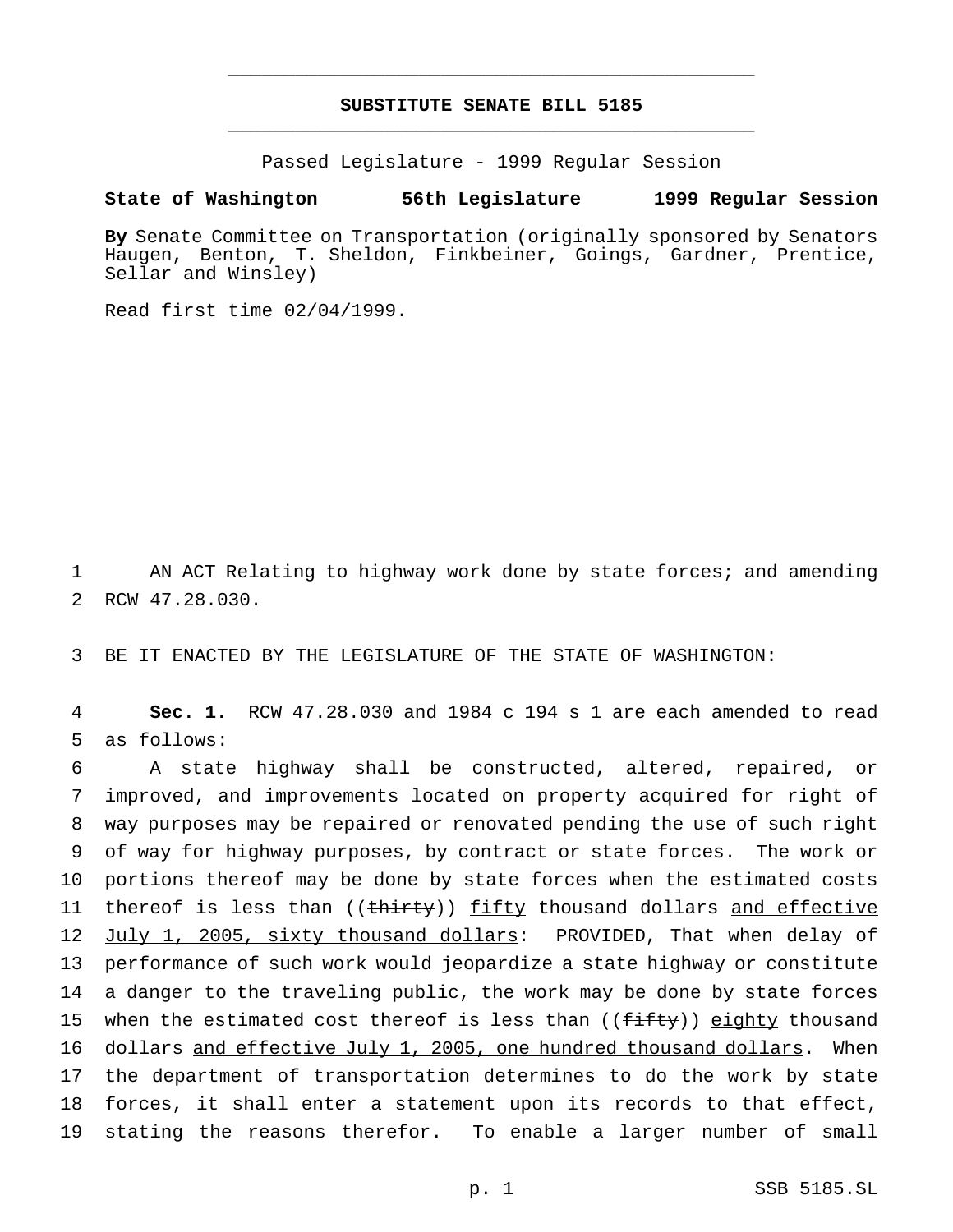# **SUBSTITUTE SENATE BILL 5185** \_\_\_\_\_\_\_\_\_\_\_\_\_\_\_\_\_\_\_\_\_\_\_\_\_\_\_\_\_\_\_\_\_\_\_\_\_\_\_\_\_\_\_\_\_\_\_

\_\_\_\_\_\_\_\_\_\_\_\_\_\_\_\_\_\_\_\_\_\_\_\_\_\_\_\_\_\_\_\_\_\_\_\_\_\_\_\_\_\_\_\_\_\_\_

Passed Legislature - 1999 Regular Session

### **State of Washington 56th Legislature 1999 Regular Session**

**By** Senate Committee on Transportation (originally sponsored by Senators Haugen, Benton, T. Sheldon, Finkbeiner, Goings, Gardner, Prentice, Sellar and Winsley)

Read first time 02/04/1999.

1 AN ACT Relating to highway work done by state forces; and amending 2 RCW 47.28.030.

3 BE IT ENACTED BY THE LEGISLATURE OF THE STATE OF WASHINGTON:

4 **Sec. 1.** RCW 47.28.030 and 1984 c 194 s 1 are each amended to read 5 as follows:

 A state highway shall be constructed, altered, repaired, or improved, and improvements located on property acquired for right of way purposes may be repaired or renovated pending the use of such right of way for highway purposes, by contract or state forces. The work or portions thereof may be done by state forces when the estimated costs 11 thereof is less than ((thirty)) fifty thousand dollars and effective 12 July 1, 2005, sixty thousand dollars: PROVIDED, That when delay of performance of such work would jeopardize a state highway or constitute a danger to the traveling public, the work may be done by state forces 15 when the estimated cost thereof is less than  $((f\text{-}if\text{-}ty))$  eighty thousand dollars and effective July 1, 2005, one hundred thousand dollars. When the department of transportation determines to do the work by state forces, it shall enter a statement upon its records to that effect, stating the reasons therefor. To enable a larger number of small